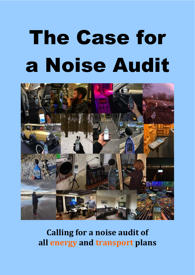# The Case for a Noise Audit



# **Calling for a noise audit of all energy and transport plans**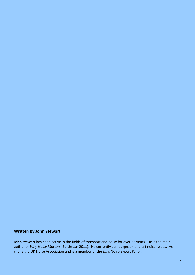## **Written by John Stewart**

**John Stewart** has been active in the fields of transport and noise for over 35 years. He is the main author of *Why Noise Matters* (Earthscan 2011). He currently campaigns on aircraft noise issues. He chairs the UK Noise Association and is a member of the EU's Noise Expert Panel.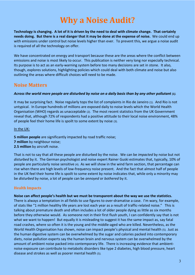# **Why a Noise Audit?**

**Technology is changing. A lot of it is driven by the need to deal with climate change. That certainly needs doing. But there is a real danger that it may be done at the expense of noise.** We could end up with emissions under control but noise levels higher than ever. To prevent this, we argue a noise audit is required of all the technology on offer.

We have concentrated on energy and transport because these are the areas where the conflict between emissions and noise is most likely to occur. This publication is neither very long nor especially technical. Its purpose is to act as an early-warning system before too many decisions are set in stone. It also, though, explores solutions, highlighting policies which could deal with both climate and noise but also outlining the areas where difficult choices will need to be made.

## **Noise Matters**

#### *Across the world more people are disturbed by noise on a daily basis than by any other pollutant (1).*

It may be surprising fact. Noise regularly tops the list of complaints in Rio de Janeiro (1). And Rio is not untypical. In Europe hundreds of millions are exposed daily to noise levels which the World Health Organisation (WHO) regards as unacceptable (2). The most recent statistics from the UK Government reveal that, although 72% of respondents had a positive attitude to their local noise environment, 48% of people feel their home life is spoilt to some extent by noise (3).

#### In the UK:

**5 million people** are significantly impacted by road traffic noise;

- **7 million** by neighbour noise;
- **2.5 million** by aircraft noise.

That is not to say that all these people are disturbed by the noise. We can be *impacted* by noise but not *disturbed* by it. The German psychologist and noise expert Rainer Guski estimates that, typically, 10% of people are particularly noise sensitive (4). As we will show in the wind farm section, that percentage can rise when there are high levels of low-frequency noise present. And the fact that almost half of people in the UK feel their home life is spoilt to some extent by noise indicates that, while only a minority may be *disturbed* by noise, a lot of people can be *annoyed* or *bothered* by it.

### **Health Impacts**

## **Noise can affect people's health but we must be transparent about the way we use the statistics.**

There is always a temptation in all fields to use figures to over-dramatise a case. I'm wary, for example, of stats like "1 million healthy life years are lost each year as a result of traffic-related noise." This is talking about premature death and often includes a lot of older people dying as little as six months before they otherwise would. As someone not in their first flush youth, I can confidently say that is not what we want to happen! But equally it is misleading to suggest it has the same impact as, say fatal road crashes, where so often it is the young and the middle-aged who are killed. Nevertheless, as the World Health Organisation has shown, noise can impact people's physical and mental health (5).Just as the human digestive system can be overwhelmed by the sugar and calories packed into contemporary diets, noise pollution experts say the human brain and nervous system can be overwhelmed by the amount of ambient noise packed into contemporary life. There is increasing evidence that ambientnoise exposure can contribute to metabolic disorders like type 2 diabetes, high blood pressure, heart disease and strokes as well as poorer mental health (5).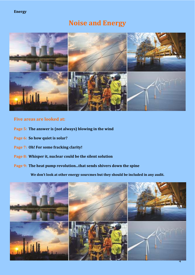## **Noise and Energy**



## **Five areas are looked at:**

- **Page 5: The answer is (not always) blowing in the wind**
- **Page 6: So how quiet is solar?**
- **Page 7: Oh! For some fracking clarity!**
- **Page 8: Whisper it, nuclear could be the silent solution**
- **Page 9: The heat pump revolution...that sends shivers down the spine**

**We don't look at other energy sourcmes but they should be included in any audit.** 

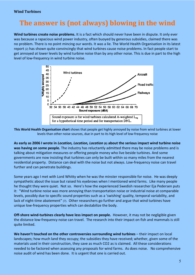# **The answer is (not always) blowing in the wind**

**Wind turbines create noise problems.** It is a fact which should never have been in dispute. It only ever was because a rapacious wind power industry, often buoyed by generous subsidies, claimed there was no problem. There is no point mincing our words. It was a lie. The World Health Organisation in its latest report (2) has shown quite convincingly that wind turbines cause noise problems. In fact people start to get annoyed at lower levels by wind turbine noise than by any other noise. This is due in part to the high level of low-frequency in wind turbine noise.



**This World Health Organisation chart** shows that people get highly annoyed by noise from wind turbines at lower levels than other noise sources, due in part to its high level of low-frequency noise

**As early as 2006 I wrote in** *Location, Location, Location* **(6) about the serious impact wind turbine noise was having on some people.** The industry has reluctantly admitted there may be noise problems and is talking about mitigation measures or offering people money who live beside turbines. And some governments are now insisting that turbines can only be built within so many miles from the nearest residential property. Distance can deal with the noise but not always. Low-frequency noise can travel further and can penetrate buildings.

Some years ago I met with Lord Whitty when he was the minster responsible for noise. He was deeply sympathetic about the issue but raised his eyebrows when I mentioned wind farms. Like many people he thought they were quiet. Not so. Here's how the experienced Swedish researcher Eja Pedersen puts it: "Wind turbine noise was more annoying than transportation noise or industrial noise at comparable levels, possibly due to specific sound properties such as a 'swishing' quality, temporal variability, and lack of night-time abatement" (7). Other researchers go further and argue that wind turbines have unique low-frequency properties which can destabilize the body.

**Off-shore wind-turbines clearly have less impact on people.** However, it may not be negligible given the distance low-frequency noise can travel. The research into their impact on fish and mammals is still quite limited.

**We haven't touched on the other controversies surrounding wind turbines** – their impact on local landscapes; how much land they occupy; the subsidies they have received; whether, given some of the materials used in their construction, they save as much CO2 as is claimed. All these considerations needed to be factored when assessing any proposals for wind farms. As does noise. No comprehensive noise audit of wind has been done. It is urgent that one is carried out.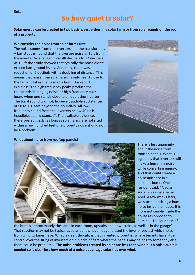**Solar** 

## **So how quiet is solar?**

**Solar energy can be created in two basic ways: either in a solar farm or from solar panels on the roof of a property.**

#### **We consider the noise from solar farms first.**

The noise comes from the invertors and the transformer. A key study (8) found that the average noise at 10ft from the inverter face ranged from 48 decibels to 72 decibels. At 150ft the study showed that typically the noise didn't exceed background levels. Generally, there was a reduction of 6 decibels with a doubling of distance. This means that noise from solar farms is only heard close to the farm. It takes the form of a hum. The report explains: "The high frequency peaks produce the characteristic 'ringing noise' or high frequency buzz heard when one stands close to an operating inverter. The tonal sound was not, however, audible at distances of 50 to 150 feet beyond the boundary. All lowfrequency sound from the inverters below 40 Hz is inaudible, at all distances". The available evidence, therefore, suggests, as long as solar farms are not sited within a few hundred feet of a property noise should not be a problem.



#### **What about noise from rooftop panels?**



There is less unanimity about the noise from rooftop panels. What is agreed is that inverters will make a humming noise while converting energy. And that could create a noise nuisance in a person's home. One resident said: "A solar system was installed in April. A few weeks later, we started noticing a hum noise inside the house. It is more noticeable inside the house (as opposed to outside). The loudness of

the hum is approximately the same in each room, upstairs and downstairs, as well as in the garage". That reaction may not be typical as solar panels have not generated the level of protest which noise from wind turbines have. What is clear, though, is that in rented properties where tenants have little control over the siting of inverters or in blocks of flats where the panels may belong to somebody else there could be problems. **The noise problems created by solar are less than wind but a noise audit is needed so is clear just how much of a noise advantage solar has over wind.**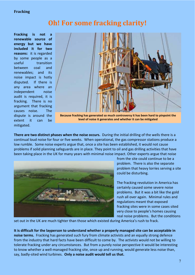#### **Fracking**

## **Oh! For some fracking clarity!**

**Fracking is not a renewable source of energy but we have included it for two reasons:** it is regarded by some people as a useful transition between coal and renewables; and its noise impact is hotly disputed. If there is any area where an independent noise audit is required, it is fracking. There is no argument that fracking causes noise. The dispute is around the extent it can be mitigated.



**Because fracking has generated so much controversy it has been hard to pinpoint the level of noise it generates and whether it can be mitigated** 

**There are two distinct phases when the noise occurs.** During the initial drilling of the wells there is a continual loud noise for four or five weeks. When operational, the gas compressor stations produce a low rumble. Some noise experts argue that, once a site has been established, it would not cause problems if solid planning safeguards are in place. They point to oil and gas drilling activities that have been taking place in the UK for many years with minimal noise impact. Other experts argue that noise



from the site could continue to be a problem. There is also the separate problem that heavy lorries serving a site could be disturbing.

The fracking revolution in America has certainly caused some severe noise problems. But it was a bit like the gold rush all over again. Minimal rules and regulations meant that exposed fracking sites were in some cases sited very close to people's homes causing real noise problems. But the conditions

set out in the UK are much tighter than those which existed during America's rush to frack.

**It is difficult for the layperson to understand whether a properly managed site can be acceptable in noise terms.** Fracking has generated such fury from climate activists and an equally strong defence from the industry that hard facts have been difficult to come by. The activists would not be willing to tolerate fracking under any circumstances. But from a purely noise perspective it would be interesting to know whether a well-managed fracking site, once up and running, would generate less noise than, say, badly-sited wind turbines. **Only a noise audit would tell us that.**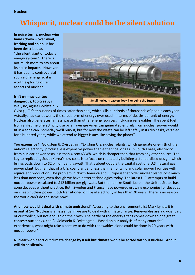#### **Nuclear**

# **Whisper it, nuclear could be the silent solution**

**In noise terms, nuclear wins hands down – over wind, fracking and solar.** It has been described as "the silent giant of today's energy system." There is not much more to say about its noise impacts. However, it has been a controversial source of energy so it is worth exploring other aspects of nuclear.

## **Isn't n-n-nuclear too dangerous, too creepy?**

Well, no, agues Goldstein &



Qvist (9): "It's thousands of times safer than coal, which kills hundreds of thousands of people each year. Actually, nuclear power is the safest form of energy ever used, in terms of deaths per unit of energy. Nuclear also generates far less waste than other energy sources, including renewables. The spent fuel from a lifetime of electricity use by an average American generated entirely from nuclear power would fit in a soda can. Someday we'll bury it, but for now the waste can be left safely in its dry casks, certified for a hundred years, while we attend to bigger issues like saving the planet".

**Too expensive?** Goldstein & Qvist again: "Existing U.S. nuclear plants, which generate one-fifth of the nation's electricity, produce less expensive power than either coal or gas. In South Korea, electricity from nuclear power costs less than 4 cents/kWh, which is cheaper than that from any other source. The key to replicating South Korea's low costs is to focus on repeatedly building a standardized design, which brings costs down to \$2 billion per gigawatt. That's about double the capital cost of a U.S. natural gas power plant, but half that of a U.S. coal plant and less than half of wind and solar power facilities with equivalent production. The problem in North America and Europe is that older nuclear plants cost much less than new ones, even though we have better technologies today. The latest U.S. attempts to build nuclear power escalated to \$12 billion per gigawatt. But then unlike South Korea, the United States has gone decades without practice. Both Sweden and France have powered growing economies for decades on cheap nuclear power. Both transitioned off fossil electricity in less than 20 years. There is no reason the world can't do the same now".

**And how would it deal with climate emissions?** According to the environmentalist Mark Lynas, it is essential (10): "Nuclear is an essential if we are to deal with climate change. Renewables are a crucial part of our toolkit, but not enough on their own. The battle of the energy titans comes down to one great contest: nuclear vs. coal". Goldstein & Qvist agree: "Based on our analysis of many countries' experiences, what might take a century to do with renewables alone could be done in 20 years with nuclear power".

**Nuclear won't sort out climate change by itself but climate won't be sorted without nuclear. And it will do so silently.**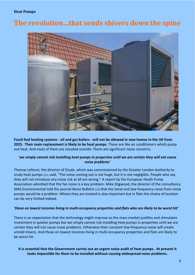#### **Heat Pumps**

## **The revolution…that sends shivers down the spine**



**Fossil fuel heating systems - oil and gas boilers - will not be allowed in new homes in the UK from 2025. Their main replacement is likely to be heat pumps.** These are like air conditioners which pump out heat. And most of them are situated outside. There are significant noise concerns.

#### *'we simply cannot risk installing heat pumps in properties until we are certain they will not cause noise problems'*

Thomas Lefevre, the director of Etude, which was commissioned by the Greater London Authority to study heat pumps (11), said, "The noise coming out is not huge, but it is not negligible. People who say they will not introduce any noise risk at all are wrong." A report by the European Heath Pump Association admitted that the fan noise is a key problem. Mike Stigwood, the director of the consultancy MAS Environmental told the journal Noise Bulletin (12) that the tonal and low-frequency noise from noise pumps would be a problem. Where they are located is also important but in flats the choice of location can be very limited indeed.

#### *'those on lowest incomes living in multi-occupancy properties and flats who are likely to be worst hit'*

There is an expectation that the technology might improve as the mass market justifies and stimulates investment in quieter pumps but we simply cannot risk installing heat pumps in properties until we are certain they will not cause noise problems. Otherwise their constant low-frequency noise will create untold misery. And those on lowest incomes living in multi-occupancy properties and flats are likely to be worst hit.

#### **It is essential that the Government carries out an urgent noise audit of heat pumps. At present it looks impossible for them to be installed without causing widespread noise problems.**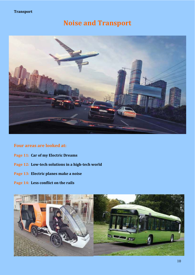#### **Transport**

# **Noise and Transport**



## **Four areas are looked at:**

- **Page 11: Car of my Electric Dreams**
- **Page 12: Low-tech solutions in a high-tech world**
- **Page 13: Electric planes make a noise**
- **Page 14: Less conflict on the rails**

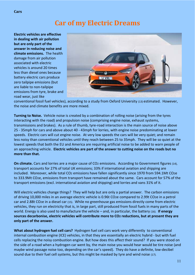## **Car of my Electric Dreams**

**Electric vehicles are effective in dealing with air pollution but are only part of the answer in reducing noise and climate emissions.** The health damage from air pollution associated with electric vehicles is around 20 times less than diesel ones because battery electric cars produce zero tailpipe emissions (but are liable to non-tailpipe emissions from tyre, brake and road wear, just like



conventional fossil fuel vehicles), according to a study from Oxford University (13) estimated. However, the noise and climate benefits are more mixed.

**Turning to Noise.** Vehicle noise is created by a combination of rolling noise (arising from the tyres interacting with the road) and propulsion noise (comprising engine noise, exhaust systems, transmissions and brakes). As a rule of thumb, tyre-road interaction is the main source of noise above 25 - 35mph for cars and above about 40 - 43mph for lorries, with engine noise predominating at lower speeds. Electric cars will cut engine noise. At very low speeds the cars will be very quiet; and remain less noisy than conventional vehicles until they reach between 25 to 35mph. They will be so quiet at the lowest speeds that both the EU and America are requiring artificial noise to be added to warn people of an approaching vehicle. **Electric vehicles are part of the answer to cutting noise on the roads but no more than that.** 

**On climate.** Cars and lorries are a major cause of CO<sub>2</sub> emissions. According to Government figures (14), transport accounts for 27% of total UK emissions; 33% if international aviation and shipping are included. Moreover, while total CO2 emissions have fallen significantly since 1970 from 594.1Mt CO2e to 333.9Mt CO2e, emissions from transport have remained about the same. Cars account for 57% of the transport emissions (excl. international aviation and shipping) and lorries and vans 31% of it.

Will electric vehicles change things? They will help but are only a partial answer. The carbon emissions of driving 10,000 miles in an average electric vehicle is 0.96t CO2e compared to 2.99t CO2e in a petrol car and 2.88t CO2e in a diesel car (15). While no greenhouse gas emissions directly come from electric vehicles, they run on electricity that is, in large part, still produced from fossil fuels in many parts of the world. Energy is also used to manufacture the vehicle – and, in particular, the battery (16). **If energy sources decarbonise, electric vehicles will contribute more to CO2 reductions, but at present they are only part of the answer.** 

**What about hydrogen fuel cell cars?** Hydrogen fuel cell cars work very differently to conventional internal combustion engine (ICE) vehicles, in that they are essentially an electric hybrid - but with fuel cells replacing the noisy combustion engine. But how does this affect their sound? If you were stood on the side of a road when a hydrogen car went by, the main noise you would hear would be tire noise (and maybe wind passage noise too, depending on the car's speed). They do have a definite, low-decibel sound due to their fuel cell systems, but this might be masked by tyre and wind noise (17).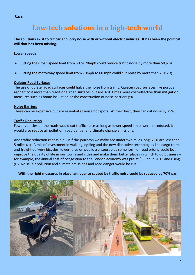#### **Cars**

# **Low-tech solutions in a high-tech world**

**The solutions exist to cut car and lorry noise with or without electric vehicles. It has been the political will that has been missing.** 

#### **Lower speeds**

- Cutting the urban speed limit from 30 to 20mph could reduce traffic noise by more than 50% (18).
- Cutting the motorway speed limit from 70mph to 60 mph could cut noise by more than 25% (18).

#### **Quieter Road Surfaces**

The use of quieter road surfaces could halve the noise from traffic. Quieter road surfaces like porous asphalt cost more than traditional road surfaces but are 3-10 times more cost-effective than mitigation measures such as home insulation or the construction of noise barriers (19).

#### **Noise Barriers**

These can be expensive but are essential at noise hot spots. At their best, they can cut noise by 75%.

#### **Traffic Reduction**

Fewer vehicles on the roads would cut traffic noise as long as lower speed limits were introduced. It would also reduce air pollution, road danger and climate change emissions.

And traffic reduction *is* possible. Half the journeys we make are under two miles long; 75% are less than 5 miles (20). A mix of investment in walking, cycling and the new disruptive technologies like cargo trams and freight delivery bicycles, lower fares on public transport plus some form of road pricing could both improve the quality of life in our towns and cities and make them better places in which to do business – for example, the annual cost of congestion to the London economy was put at \$8.5bn in 2013 and rising (21). Noise, air pollution and climate emissions and road danger would be cut.

**With the right measures in place, annoyance caused by traffic noise could be reduced by 70% (22).**

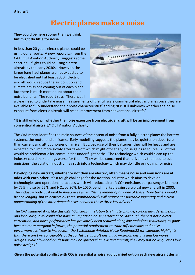#### **Aircraft**

## **Electric planes make a noise**

#### **They could be here sooner than we think but might do little for noise…..**

In less than 20 years electric planes could be using our airports. A new report (23) from the CAA (Civil Aviation Authority) suggests some short-haul flights could be using electric aircraft by the early 2030s. However, the larger long-haul planes are not expected to be electrified until at least 2050. Electric aircraft would reduce the air pollution and climate emissions coming out of each plane. But there is much more doubt about their noise benefits. The report says "There is still



a clear need to undertake noise measurements of the full scale commercial electric planes once they are available to fully understand their noise characteristics" adding "it is still unknown whether the noise exposure from electric aircraft will be an improvement from conventional aircraft."

#### **"It is still unknown whether the noise exposure from electric aircraft will be an improvement from conventional aircraft."** Civil Aviation Authority

The CAA report identifies the main sources of the potential noise from a fully electric plane: the battery systems, the motor and air frame. Early modelling suggests the planes may be quieter on departure than current aircraft but noisier on arrival. But, because of their batteries, they will be heavy and are expected to climb more slowly after take-off which might off-set any noise gains at source. All of this would be problematic for communities under flight paths. The technology which could clean up the industry could make things worse for them. They will be concerned that, driven by the need to cut emissions, the aviation industry may rush into a technology which may do little or nothing for noise.

**Developing new aircraft, whether or not they are electric, often means noise and emissions are at**  odds with each other. It's a tough challenge for the aviation industry which aims to develop technologies and operational practices which will reduce aircraft CO2 emissions per passenger kilometre by 75%, noise by 65%, and NOX by 90%, by 2050, benchmarked against a typical new aircraft in 2000. The industry body Sustainable Aviation says (24): *"Achievement of any one of these three targets would be challenging, but to achieve all three simultaneously will require considerable ingenuity and a clear understanding of the inter-dependencies between these three key drivers"*.

The CAA summed it up like this (25): *"Concerns in relation to climate change, carbon dioxide emissions, and local air quality could also have an impact on noise performance. Although there is not a direct correlation, and noise performance has previously been reduced alongside emissions reductions, as gains become more marginal in future, the potential requirement to trade off emissions and noise performance is likely to increase……the Sustainable Aviation Noise Roadmap22 for example, highlights that there are two conceivable paths for future aircraft design, low-carbon designs and low-noise designs. Whilst low-carbon designs may be quieter than existing aircraft, they may not be as quiet as low noise designs"*.

**Given the potential conflict with CO2 is essential a noise audit carried out on each new aircraft design.**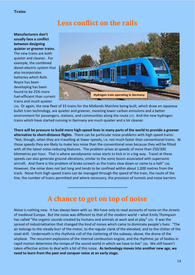## **Less conflict on the rails**

#### **Manufacturers don't usually face a conflict between designing quieter or greener trains**. The new trains are both

quieter and cleaner. For example, the combined diesel-electric system that also incorporates batteries which Rolls Royce has been developing has been found to be 25% more fuel-efficient than current trains and much quieter



(26). Or again, the new fleet of 33 trains for the Midlands Mainline being built, which draw on Japanese bullet train technology, are quieter and greener, meaning lower carbon emissions and a better environment for passengers, stations, and communities along the route (27). And the new hydrogen trains which have started running in Germany are much quieter and a lot cleaner.

**There will be pressure to build more high-speed lines in many parts of the world to provide a greener alternative to short-distance flights.** There can be particular noise problems with high speed trains: "Not, though, when they are travelling at lower speeds, i.e. not much faster than conventional trains. At those speeds they are likely to make less noise than the conventional ones because they will be fitted with all the latest noise-reducing features. The problem arises at speeds of more than 250/300 kilometres per hour. That is where aerodynamic noise starts to kick in in a big way. Travel at these speeds can also generate ground vibrations, similar to the sonic boom associated with supersonic aircraft. And there is the problem of brake screech as the trains slow down or come to a halt" (28). However, the noise does not last long and tends to be confined within about 1,000 metres from the track. Noise from high-speed trains can be managed through the speed of the train, the route of the line, the number of trains permitted and where necessary, the provision of tunnels and noise barriers.

# **A chance to get on top of noise**

**---------------------------------------------** 

Noise is nothing new. It has always been with us. We have only to read accounts of noise on the streets of medieval Europe. But the noise was different to that of the modern world – what Emily Thompson has called "the organic sounds created by humans and animals at work and at play" (29). It was the spread of industrialization that changed the kind of noises which came to dominate people's lives: "The air belongs to the steady burr of the motor, to the regular clank of the elevated, and to the chitter of the steel drill. Underneath is the rhythmic roll of the clattering of the subway; above, the drone of the airplane. The recurrent explosions of the internal combustion engine, and the rhythmic jar of bodies in rapid motion determine the tempo of the sound world in which we have to live" (30). We still haven't taken effective action to deal with a lot of this noise. **As technology moves into another new age, we need to learn from the past and conquer noise at an early stage.**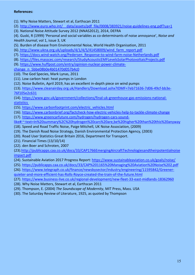#### **References:**

- (1). Why Noise Matters, Stewart et al, Earthscan 2011
- (2). http://www.euro.who.int/ data/assets/pdf file/0008/383921/noise-guidelines-eng.pdf?ua=1
- (3). National Noise Attitude Survey 2012 (NNAS2012), 2014, DEFRA

(4). Guski, R (1999) 'Personal and social variables as co-determinants of noise annoyance', *Noise and Health Journal*, vol 1, issue 3, UK

- (5). Burden of disease from Environmental Noise, World Health Organisation, 2011
- (6). http://www.ukna.org.uk/uploads/4/1/4/5/41458009/wind\_farm\_report.pdf
- (7). https://docs.wind-watch.org/Pedersen\_Response-to-wind-farm-noise-Netherlands.pdf
- (8). https://files.masscec.com/research/StudyAcousticEMFLevelsSolarPhotovoltaicProjects.pdf
- (9). https://www.huffpost.com/entry/opinion-nuclear-power-climate-
- change\_n\_5bbe08b0e4b01470d057b4c0
- (10). The God Species, Mark Lynas, 2011
- (11). Low carbon heat: heat pumps in London
- (12). Noise Bulletin, April 2019, has an excellent in-depth piece on wind pumps

(13). https://www.cleanairday.org.uk/Handlers/Download.ashx?IDMF=7eb71636-7d06-49cf-bb3e-76f105e2c631

(14). https://www.gov.uk/government/collections/final-uk-greenhouse-gas-emissions-nationalstatistics 

- (15). https://www.carbonfootprint.com/electric\_vehicles.html
- (16). https://www.carbonbrief.org/factcheck-how-electric-vehicles-help-to-tackle-climate-change
- (17). https://www.greencarfuture.com/hydrogen/hydrogen-cars-sound-

like#:~:text=In%20summary%2C%20hydrogen%20cars%20are,be%20higher%20than%20this%20anyway

- (18). Speed and Road Traffic Noise, Paige Mitchell, UK Noise Association, (2009)
- (19). The Danish Road Noise Strategy, Danish Environmental Protection Agency, (2003)
- (20). Road User Statistics Great Britain 2016, Department for Transport.
- (21). Financial Times (13/10/14)
- (22). den Boer and Schroten, 2007

(23).http://publicapps.caa.co.uk/docs/33/CAP1766EmergingAircraftTechnologiesandtheirpotentialnoise impact.pdf

- (24). Sustainable Aviation 2017 Progress Report: https://www.sustainableaviation.co.uk/goals/noise/
- (25). https://publicapps.caa.co.uk/docs/33/CAP%201165%20Managing%20Aviation%20Noise%202.pdf

(26). https://www.telegraph.co.uk/finance/newsbysector/industry/engineering/11595842/Greenerquieter-and-more-efficient-has-Rolls-Royce-created-the-train-of-the-future.html

- (27). https://www.business-live.co.uk/regional-development/new-fleet-33-east-midlands-18362960
- (28). Why Noise Matters, Stewart et al, Earthscan 2011
- (29). Thompson, E. (2004) *The Soundscape of Modernity*, MIT Press, Mass. USA
- (30). The Saturday Review of Literature, 1925, as quoted by Thompson